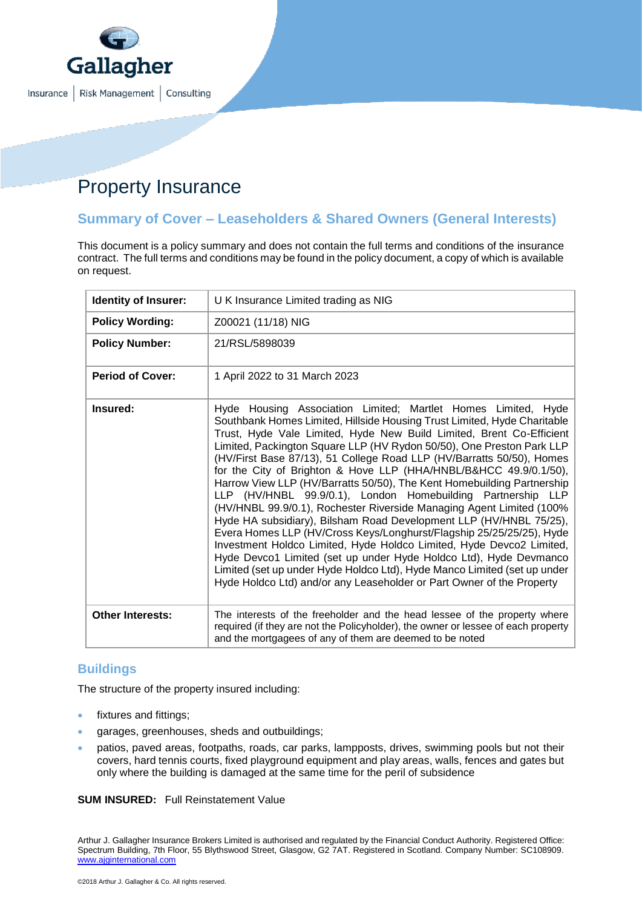

# Property Insurance

# **Summary of Cover – Leaseholders & Shared Owners (General Interests)**

This document is a policy summary and does not contain the full terms and conditions of the insurance contract. The full terms and conditions may be found in the policy document, a copy of which is available on request.

| <b>Identity of Insurer:</b> | U K Insurance Limited trading as NIG                                                                                                                                                                                                                                                                                                                                                                                                                                                                                                                                                                                                                                                                                                                                                                                                                                                                                                                                                                                                                                                                      |
|-----------------------------|-----------------------------------------------------------------------------------------------------------------------------------------------------------------------------------------------------------------------------------------------------------------------------------------------------------------------------------------------------------------------------------------------------------------------------------------------------------------------------------------------------------------------------------------------------------------------------------------------------------------------------------------------------------------------------------------------------------------------------------------------------------------------------------------------------------------------------------------------------------------------------------------------------------------------------------------------------------------------------------------------------------------------------------------------------------------------------------------------------------|
| <b>Policy Wording:</b>      | Z00021 (11/18) NIG                                                                                                                                                                                                                                                                                                                                                                                                                                                                                                                                                                                                                                                                                                                                                                                                                                                                                                                                                                                                                                                                                        |
| <b>Policy Number:</b>       | 21/RSL/5898039                                                                                                                                                                                                                                                                                                                                                                                                                                                                                                                                                                                                                                                                                                                                                                                                                                                                                                                                                                                                                                                                                            |
| <b>Period of Cover:</b>     | 1 April 2022 to 31 March 2023                                                                                                                                                                                                                                                                                                                                                                                                                                                                                                                                                                                                                                                                                                                                                                                                                                                                                                                                                                                                                                                                             |
| Insured:                    | Hyde Housing Association Limited; Martlet Homes Limited, Hyde<br>Southbank Homes Limited, Hillside Housing Trust Limited, Hyde Charitable<br>Trust, Hyde Vale Limited, Hyde New Build Limited, Brent Co-Efficient<br>Limited, Packington Square LLP (HV Rydon 50/50), One Preston Park LLP<br>(HV/First Base 87/13), 51 College Road LLP (HV/Barratts 50/50), Homes<br>for the City of Brighton & Hove LLP (HHA/HNBL/B&HCC 49.9/0.1/50),<br>Harrow View LLP (HV/Barratts 50/50), The Kent Homebuilding Partnership<br>LLP (HV/HNBL 99.9/0.1), London Homebuilding Partnership LLP<br>(HV/HNBL 99.9/0.1), Rochester Riverside Managing Agent Limited (100%<br>Hyde HA subsidiary), Bilsham Road Development LLP (HV/HNBL 75/25),<br>Evera Homes LLP (HV/Cross Keys/Longhurst/Flagship 25/25/25/25), Hyde<br>Investment Holdco Limited, Hyde Holdco Limited, Hyde Devco2 Limited,<br>Hyde Devco1 Limited (set up under Hyde Holdco Ltd), Hyde Devmanco<br>Limited (set up under Hyde Holdco Ltd), Hyde Manco Limited (set up under<br>Hyde Holdco Ltd) and/or any Leaseholder or Part Owner of the Property |
| <b>Other Interests:</b>     | The interests of the freeholder and the head lessee of the property where<br>required (if they are not the Policyholder), the owner or lessee of each property<br>and the mortgagees of any of them are deemed to be noted                                                                                                                                                                                                                                                                                                                                                                                                                                                                                                                                                                                                                                                                                                                                                                                                                                                                                |

# **Buildings**

The structure of the property insured including:

- fixtures and fittings;
- garages, greenhouses, sheds and outbuildings;
- patios, paved areas, footpaths, roads, car parks, lampposts, drives, swimming pools but not their covers, hard tennis courts, fixed playground equipment and play areas, walls, fences and gates but only where the building is damaged at the same time for the peril of subsidence

#### **SUM INSURED:** Full Reinstatement Value

Arthur J. Gallagher Insurance Brokers Limited is authorised and regulated by the Financial Conduct Authority. Registered Office: Spectrum Building, 7th Floor, 55 Blythswood Street, Glasgow, G2 7AT. Registered in Scotland. Company Number: SC108909. [www.ajginternational.com](http://www.ajginternational.com/)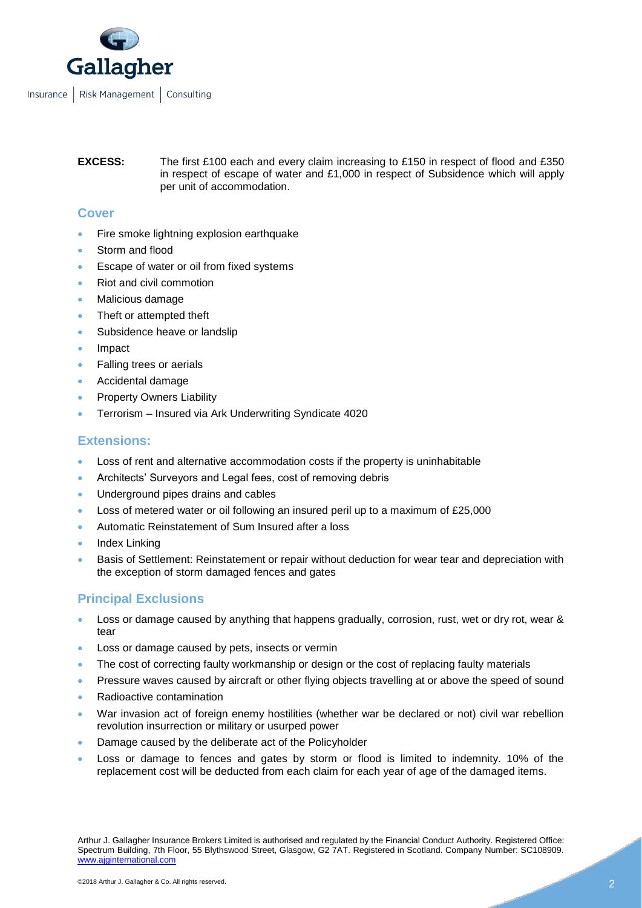

#### **EXCESS:** The first £100 each and every claim increasing to £150 in respect of flood and £350 in respect of escape of water and £1,000 in respect of Subsidence which will apply per unit of accommodation.

# **Cover**

- Fire smoke lightning explosion earthquake
- Storm and flood
- Escape of water or oil from fixed systems
- Riot and civil commotion
- Malicious damage
- Theft or attempted theft
- Subsidence heave or landslip
- Impact
- Falling trees or aerials
- Accidental damage
- Property Owners Liability
- Terrorism Insured via Ark Underwriting Syndicate 4020

#### **Extensions:**

- Loss of rent and alternative accommodation costs if the property is uninhabitable
- Architects' Surveyors and Legal fees, cost of removing debris
- Underground pipes drains and cables
- Loss of metered water or oil following an insured peril up to a maximum of £25,000
- Automatic Reinstatement of Sum Insured after a loss
- Index Linking
- Basis of Settlement: Reinstatement or repair without deduction for wear tear and depreciation with the exception of storm damaged fences and gates

# **Principal Exclusions**

- Loss or damage caused by anything that happens gradually, corrosion, rust, wet or dry rot, wear & tear
- Loss or damage caused by pets, insects or vermin
- The cost of correcting faulty workmanship or design or the cost of replacing faulty materials
- Pressure waves caused by aircraft or other flying objects travelling at or above the speed of sound
- Radioactive contamination
- War invasion act of foreign enemy hostilities (whether war be declared or not) civil war rebellion revolution insurrection or military or usurped power
- Damage caused by the deliberate act of the Policyholder
- Loss or damage to fences and gates by storm or flood is limited to indemnity. 10% of the replacement cost will be deducted from each claim for each year of age of the damaged items.